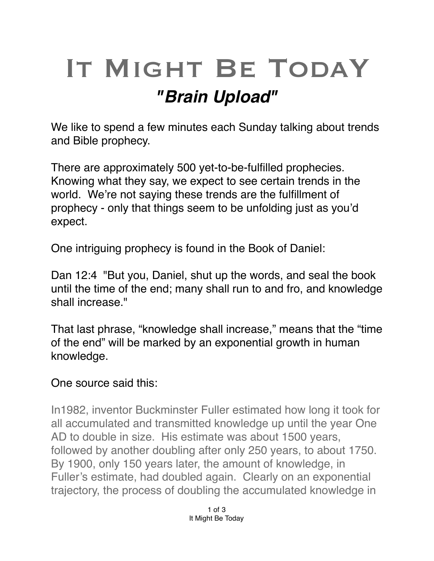## IT MIGHT BE TODAY *"Brain Upload"*

We like to spend a few minutes each Sunday talking about trends and Bible prophecy.

There are approximately 500 yet-to-be-fulfilled prophecies. Knowing what they say, we expect to see certain trends in the world. We're not saying these trends are the fulfillment of prophecy - only that things seem to be unfolding just as you'd expect.

One intriguing prophecy is found in the Book of Daniel:

Dan 12:4 "But you, Daniel, shut up the words, and seal the book until the time of the end; many shall run to and fro, and knowledge shall increase."

That last phrase, "knowledge shall increase," means that the "time of the end" will be marked by an exponential growth in human knowledge.

## One source said this:

In1982, inventor Buckminster Fuller estimated how long it took for all accumulated and transmitted knowledge up until the year One AD to double in size. His estimate was about 1500 years, followed by another doubling after only 250 years, to about 1750. By 1900, only 150 years later, the amount of knowledge, in Fuller's estimate, had doubled again. Clearly on an exponential trajectory, the process of doubling the accumulated knowledge in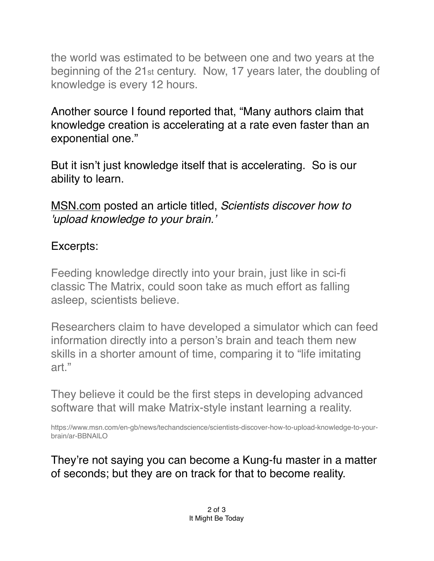the world was estimated to be between one and two years at the beginning of the 21st century. Now, 17 years later, the doubling of knowledge is every 12 hours.

Another source I found reported that, "Many authors claim that knowledge creation is accelerating at a rate even faster than an exponential one."

But it isn't just knowledge itself that is accelerating. So is our ability to learn.

[MSN.com](http://MSN.com) posted an article titled, *Scientists discover how to 'upload knowledge to your brain.'*

## Excerpts:

Feeding knowledge directly into your brain, just like in sci-fi classic The Matrix, could soon take as much effort as falling asleep, scientists believe.

Researchers claim to have developed a simulator which can feed information directly into a person's brain and teach them new skills in a shorter amount of time, comparing it to "life imitating art."

They believe it could be the first steps in developing advanced software that will make Matrix-style instant learning a reality.

https://www.msn.com/en-gb/news/techandscience/scientists-discover-how-to-upload-knowledge-to-yourbrain/ar-BBNAlLO

They're not saying you can become a Kung-fu master in a matter of seconds; but they are on track for that to become reality.